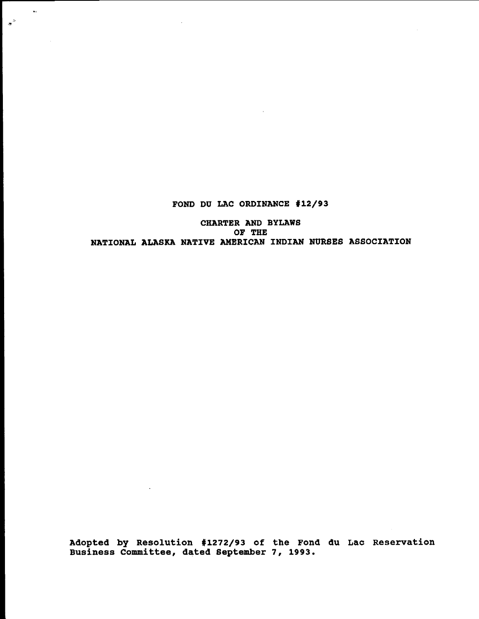FOND DU LAC ORDINANCE #12/93

 $\mathbf{r}$ 

 $\sim 100$ 

 $\star^{\nu}$ 

CHARTER AND BYLAWS OF THE NATIONAL ALASKA NATIVE AMERICAN INDIAN NURSES ASSOCIATION

Adopted by Resolution #1272/93 of the Fond du Lac Reservation Business Committee, dated September 7, 1993.

 $\sim 10^{-1}$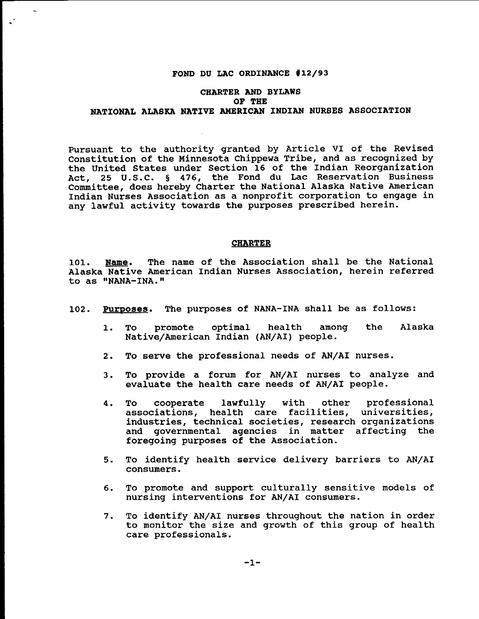### FOND DU LAC ORDINANCE #12/93

# CHARTER AND BYLAWS OF THE NATIONAL ALASKA NATIVE AMERICAN INDIAN NURSES ASSOCIATION

Pursuant to the authority granted by Article VI of the Revised constitution of the Minnesota Chippewa Tribe, and as recognized by the United states under section 16 of the Indian Reorganization Act, 25 U.S.C. § 476, the Fond du Lac Reservation Business Committee, does hereby Charter the National Alaska Native American Indian Nurses Association as a nonprofit corporation to engage in any lawful activity towards the purposes prescribed herein.

#### CHARTER

101. Name. The name of the Association shall be the National Alaska Native American Indian Nurses Association, herein referred to as "NANA-INA."

- 102. Purposes. The purposes of NANA-INA shall be as follows:
	- 1. To promote optimal health among Native/American Indian (AN/AI) people. the Alaska
	- 2. To serve the professional needs of AN/AI nurses.
	- 3. To provide a forum for AN/AI nurses to analyze and evaluate the health care needs of AN/AI people.
	- 4. To cooperate lawfully with other professional associations, health care facilities, universities, industries, technical societies, research organizations and governmental agencies in matter affecting the foregoing purposes of the Association.
	- 5. To identify health service delivery barriers to AN/AI consumers.
	- 6. To promote and support culturally sensitive models of nursing interventions for AN/AI consumers.
	- 7. To identify AN/AI nurses throughout the nation in order to monitor the size and growth of this group of health care professionals.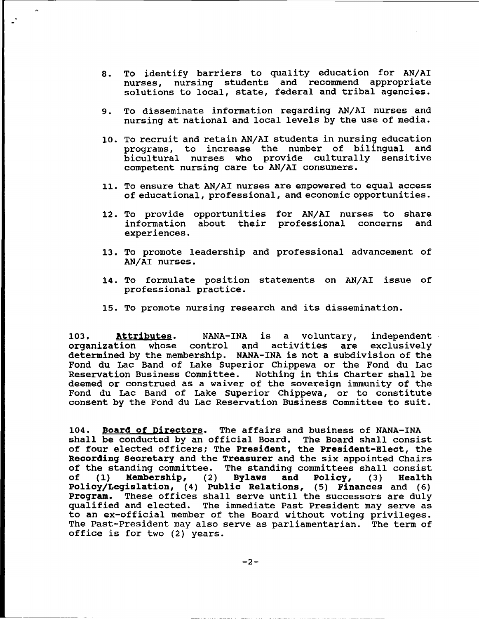- 8. To identify barriers to quality education for AN/AI nurses, nursing students and recommend appropriate solutions to local, state, federal and tribal agencies.
- 9. To disseminate information regarding AN/AI nurses and nursing at national and local levels by the use of media.
- 10. To recruit and retain AN/AI students in nursing education programs, to increase the number of bilingual and bicultural nurses who provide culturally sensitive competent nursing care to AN/AI consumers.
- 11. To ensure that AN/AI nurses are empowered to equal access of educational, professional, and economic opportunities.
- 12. To provide opportunities for AN/AI nurses to share information about their professional concerns and experiences.
- 13. To promote leadership and professional advancement of AN/AI nurses.
- 14. To formulate position statements on AN/AI issue of professional practice.
- 15. To promote nursing research and its dissemination.

103. Attributes. NANA-INA is a voluntary, independent<br>organization whose control and activities are exclusively organization whose control and activities are determined by the membership. NANA-INA is not a subdivision of the Fond du Lac Band of Lake Superior Chippewa or the Fond du Lac<br>Reservation Business Committee. Nothing in this Charter shall be Nothing in this Charter shall be deemed or construed as a waiver of the sovereign immunity of the Fond du Lac Band of Lake Superior Chippewa, or to constitute consent by the Fond du Lac Reservation Business committee to suit.

104. Board of Directors. The affairs and business of NANA-INA shall be conducted by an official Board. The Board shall consist of four elected officers; The President, the president-Elect, the Recording secretary and the Treasurer and the six appointed Chairs of the standing committee. The standing committees shall consist<br>of (1) Membership, (2) Bylaws and Policy, (3) Health Membership, Policy/Legislation, (4) Public Relations, (5) Finances and (6) program. These offices shall serve until the successors are duly qualified and elected. The immediate Past President may serve as to an ex-official member of the Board without voting privileges. The Past-President may also serve as parliamentarian. The term of office is for two (2) years.

----------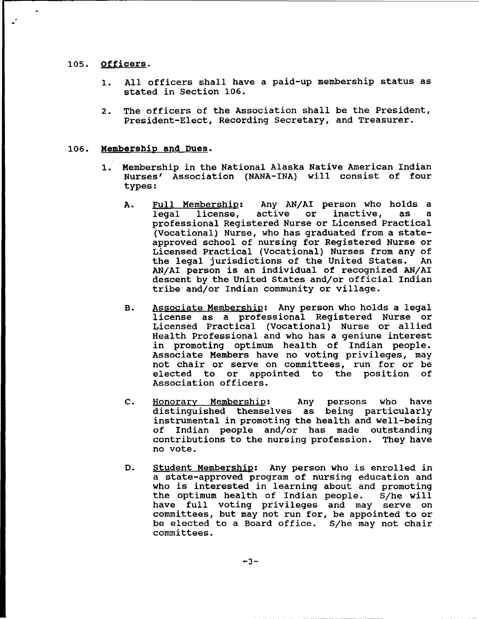#### 105. Officers.

- 1. All officers shall have a paid-up membership status as stated in section 106.
- 2. The officers of the Association shall be the President, President-Elect, Recording Secretary, and Treasurer.

# 106. Membership and Dues.

- 1. Membership in the National Alaska Native American Indian Nurses' Association (NANA-INA) will consist of four types:
	- A. <u>Full Membership</u>: Any AN/AI person who holds a<br>legal license, active or inactive, as a license, professional Registered Nurse or Licensed Practical (vocational) Nurse, who has graduated from <sup>a</sup> stateapproved school of nursing for Registered Nurse or Licensed Practical (Vocational) Nurses from any of the legal jurisdictions of the United States. AN/AI person is an individual of recognized AN/AI descent by the United States and/or official Indian tribe and/or Indian community or village.
	- B. Associate Membership: Any person who holds a legal license as a professional Registered Nurse or Licensed Practical (Vocational) Nurse or allied Health Professional and who has a geniune interest in promoting optimum health of Indian people. Associate Members have no voting privileges, may not chair or serve on committees, run for or be elected to or appointed to the position of Association officers.
	- C. Honorary Membership: Any persons who have distinguished themselves as being particularly instrumental in promoting the health and well-being Indian people and/or has made outstanding contributions to the nursing profession. They have no vote.
	- D. Student Membership: Any person who is enrolled *in* a state-approved program of nursing education and who is interested in learning about and promoting<br>the optimum health of Indian people. S/he will the optimum health of Indian people. have full voting privileges and may serve on committees, but may not run for, be appointed to or be elected to a Board office. S/he may not chair committees.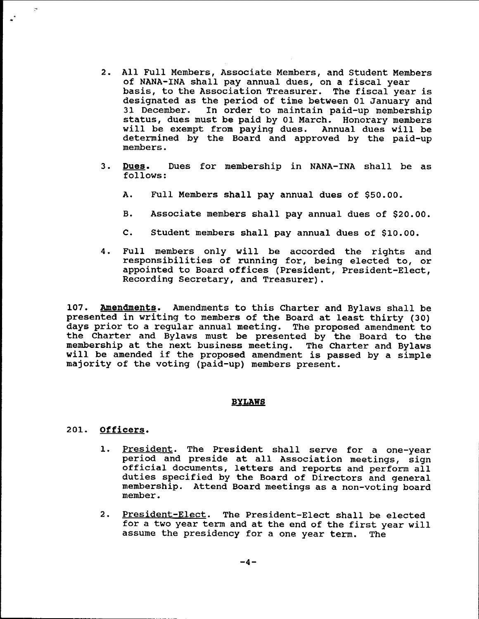- 2. All Full Members, Associate Members, and Student Members of NANA-INA shall pay annual dues, on <sup>a</sup> fiscal year basis, to the Association Treasurer. The fiscal year is designated as the period of time between 01 January and 31 December. In order to maintain paid-up membership status, dues must be paid by 01 March. Honorary members<br>will be exempt from paying dues. Annual dues will be will be exempt from paying dues. determined by the Board and approved by the paid-Up members.
- 3. Dues. Dues for membership in NANA-INA shall be as follows:
	- A. Full Members shall pay annual dues of \$50.00.
	- B. Associate members shall pay annual dues of \$20.00.
	- C. Student members shall pay annual dues of \$10.00.
- 4. Full members only will be accorded the rights and responsibilities of running for, being elected to, or appointed to Board offices (President, President-Elect, Recording Secretary, and Treasurer).

107. Amendments. Amendments to this Charter and Bylaws shall be presented *in* writing to members of the Board at least thirty (30) days prior to a regular annual meeting. The proposed amendment to the Charter and Bylaws must be presented by the Board to the membership at the next business meeting. The Charter and Bylaws will be amended if the proposed amendment is passed by <sup>a</sup> simple majority of the voting (paid-Up) members present.

#### **BYLAWS**

## 201. Officers.

...·

 $\mathcal{C}^{\bullet}$ 

- 1. President. The President shall serve for a one-year period and preside at all Association meetings, sign Official documents, letters and reports and perform all duties specified by the Board of Directors and general membership. Attend Board meetings as a non-voting board member.
- 2. President-Elect. The President-Elect shall be elected for <sup>a</sup> two year term and at the end of the first year will assume the presidency for a one year term. The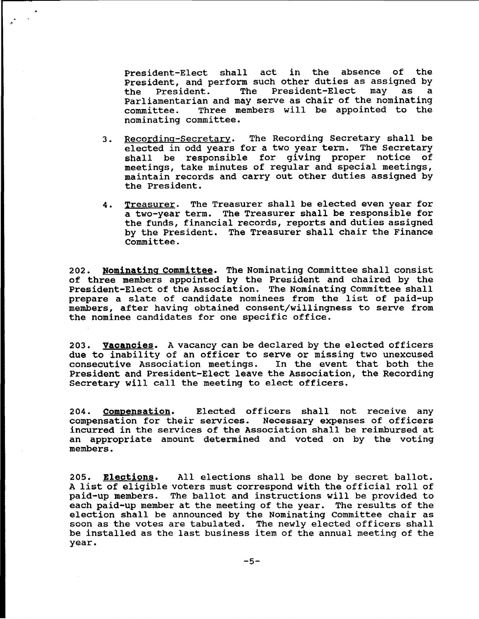President-Elect shall act in the absence of the President, and perform such other duties as assigned by<br>the President. The President-Elect may as a the President. The President-Elect Parliamentarian and may serve as chair of the nominating committee. Three members will be appointed to the nominating committee.

- 3. Recording-Secretary. The Recording Secretary shall be elected in odd years for a two year term. The Secretary shall be responsible for giving proper notice of meetings, take minutes of regular and special meetings, maintain records and carry out other duties assigned by the President.
- 4. Treasurer. The Treasurer shall be elected even year for a two-year term. The Treasurer shall be responsible for the funds, financial records, reports and duties assigned by the President. The Treasurer shall chair the Finance Committee.

202. Nominating committee. The Nominating Committee shall consist of three members appointed by the President and chaired by the President-Elect of the Association. The Nominating Committee shall prepare <sup>a</sup> slate of candidate nominees from the list of paid-up members, after having obtained consent/willingness to serve from the nominee candidates for one specific office.

203. Vacancies. A vacancy can be declared by the elected officers due to inability of an officer to serve or missing two unexcused consecutive Association meetings. In the event that both the President and President-Elect leave the Association, the Recording Secretary will call the meeting to elect officers.

204. Compensation. Elected officers shall not receive any compensation for their services. Necessary expenses of officers incurred in the services of the Association shall be reimbursed at an appropriate amount determined and voted on by the voting members.

205. Elections. All elections shall be done by secret ballot. <sup>A</sup> list of eligible voters must correspond with the official roll of paid-Up members. The ballot and instructions will be provided to each paid-up member at the meeting of the year. The results of the election shall be announced by the Nominating Committee chair as soon as the votes are tabulated. The newly elected officers shall be installed as the last business item of the annual meeting of the year.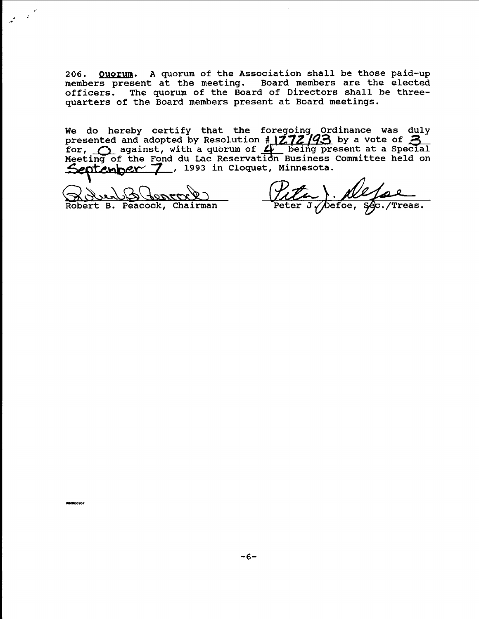206. Quorum. A quorum of the Association shall be those paid-up members present at the meeting. Board members are the elected officers. The quorum of the Board of Directors shall be threequarters of the Board members present at Board meetings.

We do hereby certify that the foregoing Ordinance was duly presented and adopted by Resolution  $\frac{1}{4}$  272/93 by a vote of for,  $\bigcirc$  against, with a quorum of  $\bigcirc$  being present at a Special Meeting of the Fond du Lac Reservation Business Committee held on September 7, 1993 in Cloquet, Minnesota.

<u>Wend Storrer ()</u>

nanannon z

.'

 $\frac{1}{2} \left( \frac{1}{2} \right)$ 

Pita). Ne fal